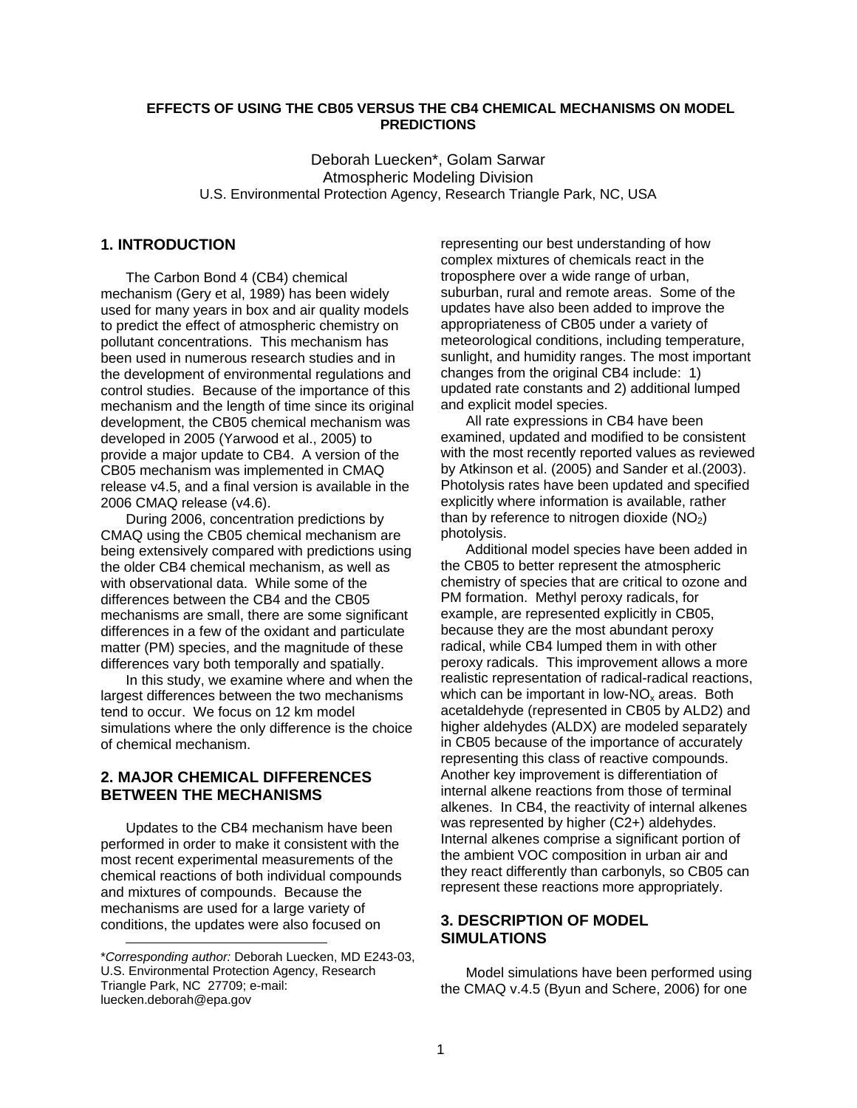### **EFFECTS OF USING THE CB05 VERSUS THE CB4 CHEMICAL MECHANISMS ON MODEL PREDICTIONS**

Deborah Luecken\*, Golam Sarwar Atmospheric Modeling Division U.S. Environmental Protection Agency, Research Triangle Park, NC, USA

#### **[1.](#page-0-0) INTRODUCTION**

The Carbon Bond 4 (CB4) chemical mechanism (Gery et al, 1989) has been widely used for many years in box and air quality models to predict the effect of atmospheric chemistry on pollutant concentrations. This mechanism has been used in numerous research studies and in the development of environmental regulations and control studies. Because of the importance of this mechanism and the length of time since its original development, the CB05 chemical mechanism was developed in 2005 (Yarwood et al., 2005) to provide a major update to CB4. A version of the CB05 mechanism was implemented in CMAQ release v4.5, and a final version is available in the 2006 CMAQ release (v4.6).

During 2006, concentration predictions by CMAQ using the CB05 chemical mechanism are being extensively compared with predictions using the older CB4 chemical mechanism, as well as with observational data. While some of the differences between the CB4 and the CB05 mechanisms are small, there are some significant differences in a few of the oxidant and particulate matter (PM) species, and the magnitude of these differences vary both temporally and spatially.

In this study, we examine where and when the largest differences between the two mechanisms tend to occur. We focus on 12 km model simulations where the only difference is the choice of chemical mechanism.

# **2. MAJOR CHEMICAL DIFFERENCES BETWEEN THE MECHANISMS**

Updates to the CB4 mechanism have been performed in order to make it consistent with the most recent experimental measurements of the chemical reactions of both individual compounds and mixtures of compounds. Because the mechanisms are used for a large variety of conditions, the updates were also focused on

l

representing our best understanding of how complex mixtures of chemicals react in the troposphere over a wide range of urban, suburban, rural and remote areas. Some of the updates have also been added to improve the appropriateness of CB05 under a variety of meteorological conditions, including temperature, sunlight, and humidity ranges. The most important changes from the original CB4 include: 1) updated rate constants and 2) additional lumped and explicit model species.

All rate expressions in CB4 have been examined, updated and modified to be consistent with the most recently reported values as reviewed by Atkinson et al. (2005) and Sander et al.(2003). Photolysis rates have been updated and specified explicitly where information is available, rather than by reference to nitrogen dioxide  $(NO<sub>2</sub>)$ photolysis.

Additional model species have been added in the CB05 to better represent the atmospheric chemistry of species that are critical to ozone and PM formation. Methyl peroxy radicals, for example, are represented explicitly in CB05, because they are the most abundant peroxy radical, while CB4 lumped them in with other peroxy radicals. This improvement allows a more realistic representation of radical-radical reactions, which can be important in low-NO<sub>x</sub> areas. Both acetaldehyde (represented in CB05 by ALD2) and higher aldehydes (ALDX) are modeled separately in CB05 because of the importance of accurately representing this class of reactive compounds. Another key improvement is differentiation of internal alkene reactions from those of terminal alkenes. In CB4, the reactivity of internal alkenes was represented by higher (C2+) aldehydes. Internal alkenes comprise a significant portion of the ambient VOC composition in urban air and they react differently than carbonyls, so CB05 can represent these reactions more appropriately.

## **3. DESCRIPTION OF MODEL SIMULATIONS**

Model simulations have been performed using the CMAQ v.4.5 (Byun and Schere, 2006) for one

<span id="page-0-0"></span><sup>\*</sup>*Corresponding author:* Deborah Luecken, MD E243-03, U.S. Environmental Protection Agency, Research Triangle Park, NC 27709; e-mail: luecken.deborah@epa.gov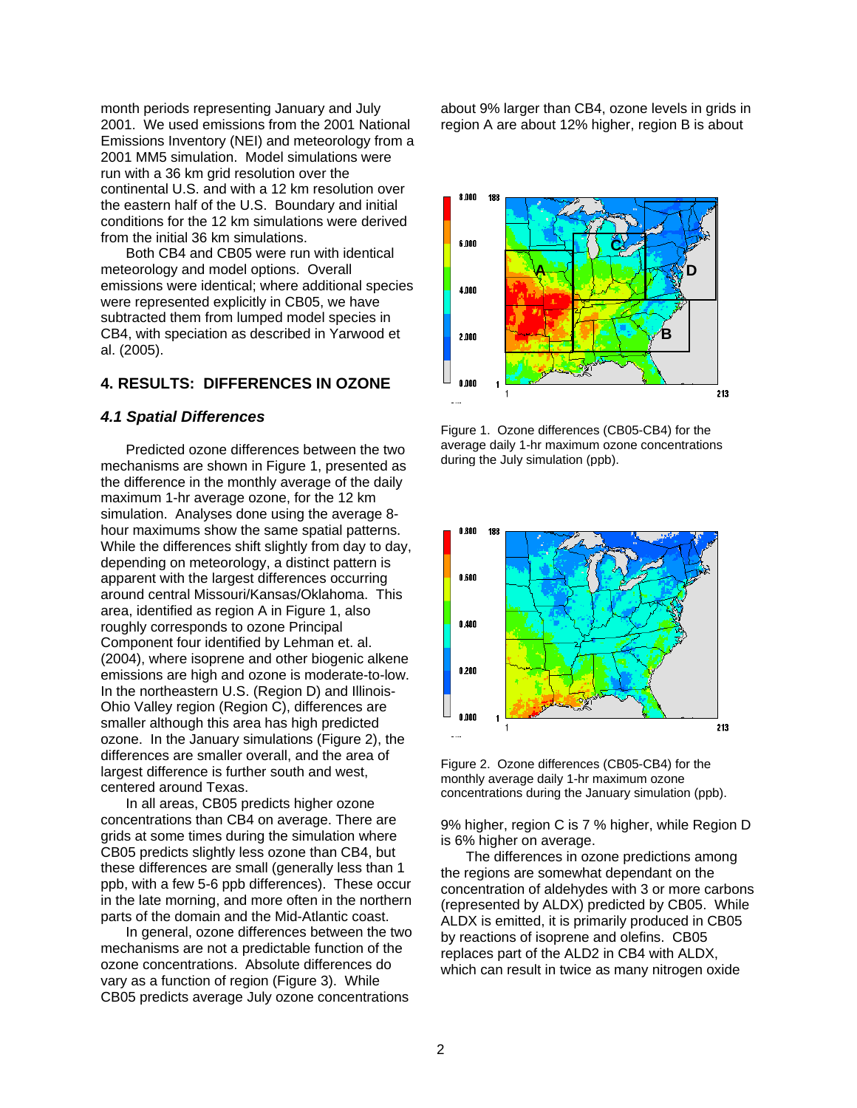month periods representing January and July 2001. We used emissions from the 2001 National Emissions Inventory (NEI) and meteorology from a 2001 MM5 simulation. Model simulations were run with a 36 km grid resolution over the continental U.S. and with a 12 km resolution over the eastern half of the U.S. Boundary and initial conditions for the 12 km simulations were derived from the initial 36 km simulations.

Both CB4 and CB05 were run with identical meteorology and model options. Overall emissions were identical; where additional species were represented explicitly in CB05, we have subtracted them from lumped model species in CB4, with speciation as described in Yarwood et al. (2005).

## **4. RESULTS: DIFFERENCES IN OZONE**

#### *4.1 Spatial Differences*

Predicted ozone differences between the two mechanisms are shown in Figure 1, presented as the difference in the monthly average of the daily maximum 1-hr average ozone, for the 12 km simulation. Analyses done using the average 8 hour maximums show the same spatial patterns. While the differences shift slightly from day to day, depending on meteorology, a distinct pattern is apparent with the largest differences occurring around central Missouri/Kansas/Oklahoma. This area, identified as region A in Figure 1, also roughly corresponds to ozone Principal Component four identified by Lehman et. al. (2004), where isoprene and other biogenic alkene emissions are high and ozone is moderate-to-low. In the northeastern U.S. (Region D) and Illinois-Ohio Valley region (Region C), differences are smaller although this area has high predicted ozone. In the January simulations (Figure 2), the differences are smaller overall, and the area of largest difference is further south and west, centered around Texas.

In all areas, CB05 predicts higher ozone concentrations than CB4 on average. There are grids at some times during the simulation where CB05 predicts slightly less ozone than CB4, but these differences are small (generally less than 1 ppb, with a few 5-6 ppb differences). These occur in the late morning, and more often in the northern parts of the domain and the Mid-Atlantic coast.

In general, ozone differences between the two mechanisms are not a predictable function of the ozone concentrations. Absolute differences do vary as a function of region (Figure 3). While CB05 predicts average July ozone concentrations

about 9% larger than CB4, ozone levels in grids in region A are about 12% higher, region B is about



Figure 1. Ozone differences (CB05-CB4) for the average daily 1-hr maximum ozone concentrations during the July simulation (ppb).



Figure 2. Ozone differences (CB05-CB4) for the monthly average daily 1-hr maximum ozone concentrations during the January simulation (ppb).

9% higher, region C is 7 % higher, while Region D is 6% higher on average.

The differences in ozone predictions among the regions are somewhat dependant on the concentration of aldehydes with 3 or more carbons (represented by ALDX) predicted by CB05. While ALDX is emitted, it is primarily produced in CB05 by reactions of isoprene and olefins. CB05 replaces part of the ALD2 in CB4 with ALDX, which can result in twice as many nitrogen oxide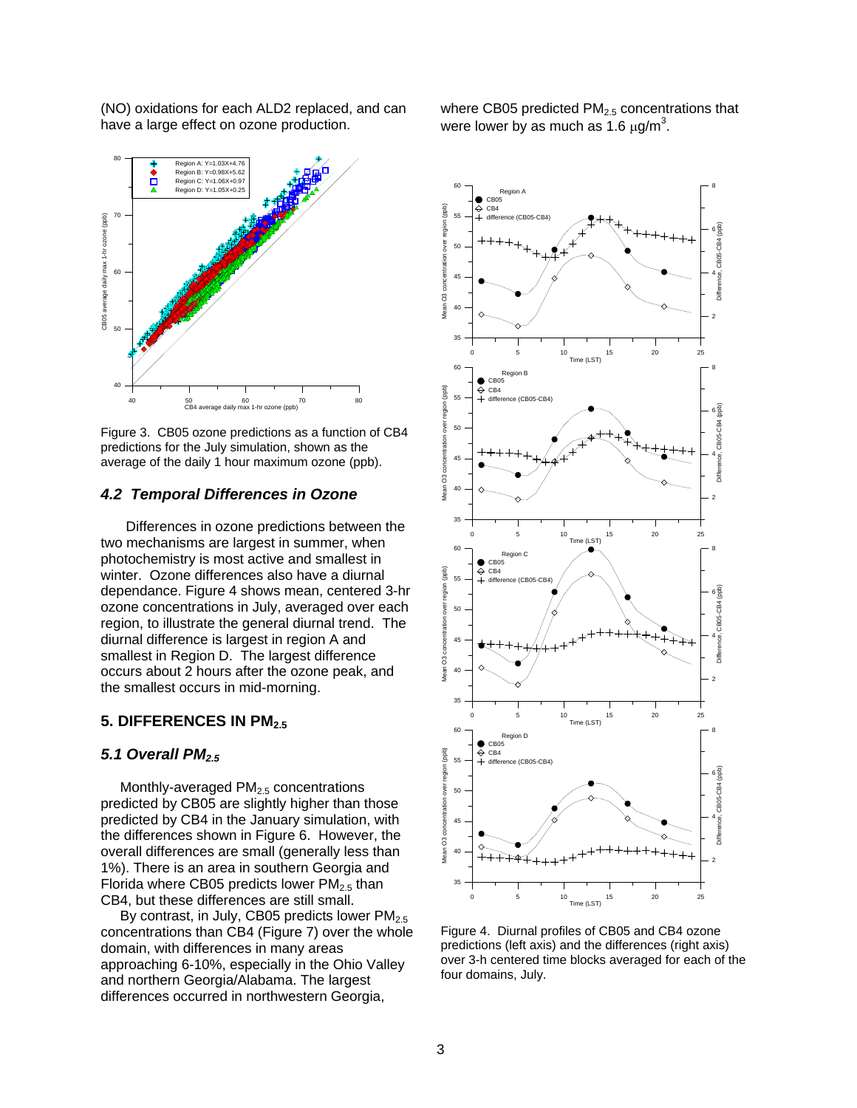(NO) oxidations for each ALD2 replaced, and can have a large effect on ozone production.



Figure 3. CB05 ozone predictions as a function of CB4 predictions for the July simulation, shown as the average of the daily 1 hour maximum ozone (ppb).

#### *4.2 Temporal Differences in Ozone*

Differences in ozone predictions between the two mechanisms are largest in summer, when photochemistry is most active and smallest in winter. Ozone differences also have a diurnal dependance. Figure 4 shows mean, centered 3-hr ozone concentrations in July, averaged over each region, to illustrate the general diurnal trend. The diurnal difference is largest in region A and smallest in Region D. The largest difference occurs about 2 hours after the ozone peak, and the smallest occurs in mid-morning.

#### **5. DIFFERENCES IN PM2.5**

## *5.1 Overall PM2.5*

Monthly-averaged  $PM<sub>2.5</sub>$  concentrations predicted by CB05 are slightly higher than those predicted by CB4 in the January simulation, with the differences shown in Figure 6. However, the overall differences are small (generally less than 1%). There is an area in southern Georgia and Florida where CB05 predicts lower  $PM<sub>2.5</sub>$  than CB4, but these differences are still small.

By contrast, in July, CB05 predicts lower  $PM<sub>2.5</sub>$ concentrations than CB4 (Figure 7) over the whole domain, with differences in many areas approaching 6-10%, especially in the Ohio Valley and northern Georgia/Alabama. The largest differences occurred in northwestern Georgia,

where CB05 predicted  $PM<sub>2.5</sub>$  concentrations that were lower by as much as 1.6  $\mu$ g/m<sup>3</sup>.



Figure 4. Diurnal profiles of CB05 and CB4 ozone predictions (left axis) and the differences (right axis) over 3-h centered time blocks averaged for each of the four domains, July.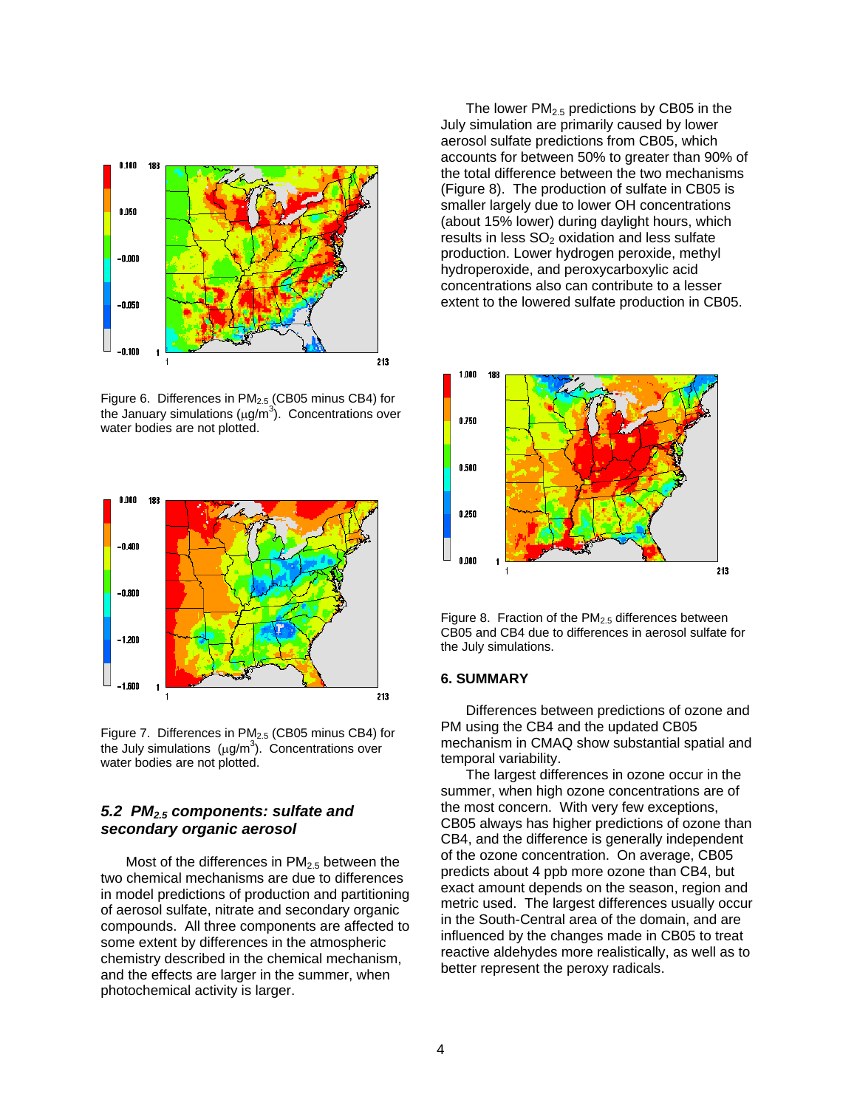

Figure 6. Differences in PM2.5 (CB05 minus CB4) for the January simulations ( $\mu$ g/m<sup>3</sup>). Concentrations over water bodies are not plotted.



Figure 7. Differences in PM<sub>2.5</sub> (CB05 minus CB4) for the July simulations  $(\mu g/m^3)$ . Concentrations over water bodies are not plotted.

## *5.2 PM2.5 components: sulfate and secondary organic aerosol*

Most of the differences in  $PM<sub>2.5</sub>$  between the two chemical mechanisms are due to differences in model predictions of production and partitioning of aerosol sulfate, nitrate and secondary organic compounds. All three components are affected to some extent by differences in the atmospheric chemistry described in the chemical mechanism, and the effects are larger in the summer, when photochemical activity is larger.

The lower  $PM<sub>2.5</sub>$  predictions by CB05 in the July simulation are primarily caused by lower aerosol sulfate predictions from CB05, which accounts for between 50% to greater than 90% of the total difference between the two mechanisms (Figure 8). The production of sulfate in CB05 is smaller largely due to lower OH concentrations (about 15% lower) during daylight hours, which results in less  $SO<sub>2</sub>$  oxidation and less sulfate production. Lower hydrogen peroxide, methyl hydroperoxide, and peroxycarboxylic acid concentrations also can contribute to a lesser extent to the lowered sulfate production in CB05.



Figure 8. Fraction of the PM2.5 differences between CB05 and CB4 due to differences in aerosol sulfate for the July simulations.

#### **6. SUMMARY**

Differences between predictions of ozone and PM using the CB4 and the updated CB05 mechanism in CMAQ show substantial spatial and temporal variability.

The largest differences in ozone occur in the summer, when high ozone concentrations are of the most concern. With very few exceptions, CB05 always has higher predictions of ozone than CB4, and the difference is generally independent of the ozone concentration. On average, CB05 predicts about 4 ppb more ozone than CB4, but exact amount depends on the season, region and metric used. The largest differences usually occur in the South-Central area of the domain, and are influenced by the changes made in CB05 to treat reactive aldehydes more realistically, as well as to better represent the peroxy radicals.